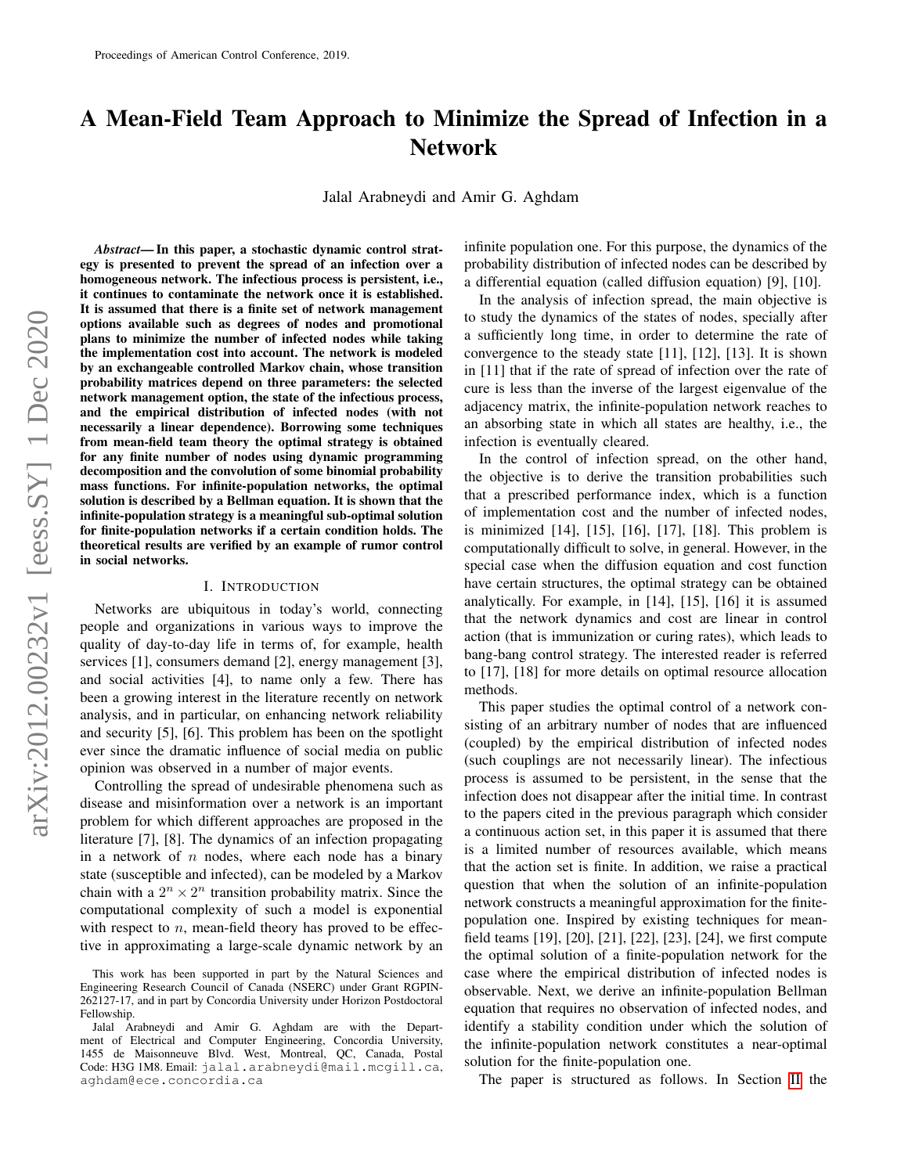# A Mean-Field Team Approach to Minimize the Spread of Infection in a Network

Jalal Arabneydi and Amir G. Aghdam

*Abstract*— In this paper, a stochastic dynamic control strategy is presented to prevent the spread of an infection over a homogeneous network. The infectious process is persistent, i.e., it continues to contaminate the network once it is established. It is assumed that there is a finite set of network management options available such as degrees of nodes and promotional plans to minimize the number of infected nodes while taking the implementation cost into account. The network is modeled by an exchangeable controlled Markov chain, whose transition probability matrices depend on three parameters: the selected network management option, the state of the infectious process, and the empirical distribution of infected nodes (with not necessarily a linear dependence). Borrowing some techniques from mean-field team theory the optimal strategy is obtained for any finite number of nodes using dynamic programming decomposition and the convolution of some binomial probability mass functions. For infinite-population networks, the optimal solution is described by a Bellman equation. It is shown that the infinite-population strategy is a meaningful sub-optimal solution for finite-population networks if a certain condition holds. The theoretical results are verified by an example of rumor control in social networks.

## I. INTRODUCTION

Networks are ubiquitous in today's world, connecting people and organizations in various ways to improve the quality of day-to-day life in terms of, for example, health services [1], consumers demand [2], energy management [3], and social activities [4], to name only a few. There has been a growing interest in the literature recently on network analysis, and in particular, on enhancing network reliability and security [5], [6]. This problem has been on the spotlight ever since the dramatic influence of social media on public opinion was observed in a number of major events.

Controlling the spread of undesirable phenomena such as disease and misinformation over a network is an important problem for which different approaches are proposed in the literature [7], [8]. The dynamics of an infection propagating in a network of  $n$  nodes, where each node has a binary state (susceptible and infected), can be modeled by a Markov chain with a  $2^n \times 2^n$  transition probability matrix. Since the computational complexity of such a model is exponential with respect to  $n$ , mean-field theory has proved to be effective in approximating a large-scale dynamic network by an infinite population one. For this purpose, the dynamics of the probability distribution of infected nodes can be described by a differential equation (called diffusion equation) [9], [10].

In the analysis of infection spread, the main objective is to study the dynamics of the states of nodes, specially after a sufficiently long time, in order to determine the rate of convergence to the steady state [11], [12], [13]. It is shown in [11] that if the rate of spread of infection over the rate of cure is less than the inverse of the largest eigenvalue of the adjacency matrix, the infinite-population network reaches to an absorbing state in which all states are healthy, i.e., the infection is eventually cleared.

In the control of infection spread, on the other hand, the objective is to derive the transition probabilities such that a prescribed performance index, which is a function of implementation cost and the number of infected nodes, is minimized [14], [15], [16], [17], [18]. This problem is computationally difficult to solve, in general. However, in the special case when the diffusion equation and cost function have certain structures, the optimal strategy can be obtained analytically. For example, in [14], [15], [16] it is assumed that the network dynamics and cost are linear in control action (that is immunization or curing rates), which leads to bang-bang control strategy. The interested reader is referred to [17], [18] for more details on optimal resource allocation methods.

This paper studies the optimal control of a network consisting of an arbitrary number of nodes that are influenced (coupled) by the empirical distribution of infected nodes (such couplings are not necessarily linear). The infectious process is assumed to be persistent, in the sense that the infection does not disappear after the initial time. In contrast to the papers cited in the previous paragraph which consider a continuous action set, in this paper it is assumed that there is a limited number of resources available, which means that the action set is finite. In addition, we raise a practical question that when the solution of an infinite-population network constructs a meaningful approximation for the finitepopulation one. Inspired by existing techniques for meanfield teams [19], [20], [21], [22], [23], [24], we first compute the optimal solution of a finite-population network for the case where the empirical distribution of infected nodes is observable. Next, we derive an infinite-population Bellman equation that requires no observation of infected nodes, and identify a stability condition under which the solution of the infinite-population network constitutes a near-optimal solution for the finite-population one.

The paper is structured as follows. In Section [II](#page-1-0) the

This work has been supported in part by the Natural Sciences and Engineering Research Council of Canada (NSERC) under Grant RGPIN-262127-17, and in part by Concordia University under Horizon Postdoctoral Fellowship.

Jalal Arabneydi and Amir G. Aghdam are with the Department of Electrical and Computer Engineering, Concordia University, 1455 de Maisonneuve Blvd. West, Montreal, QC, Canada, Postal Code: H3G 1M8. Email: jalal.arabneydi@mail.mcgill.ca, aghdam@ece.concordia.ca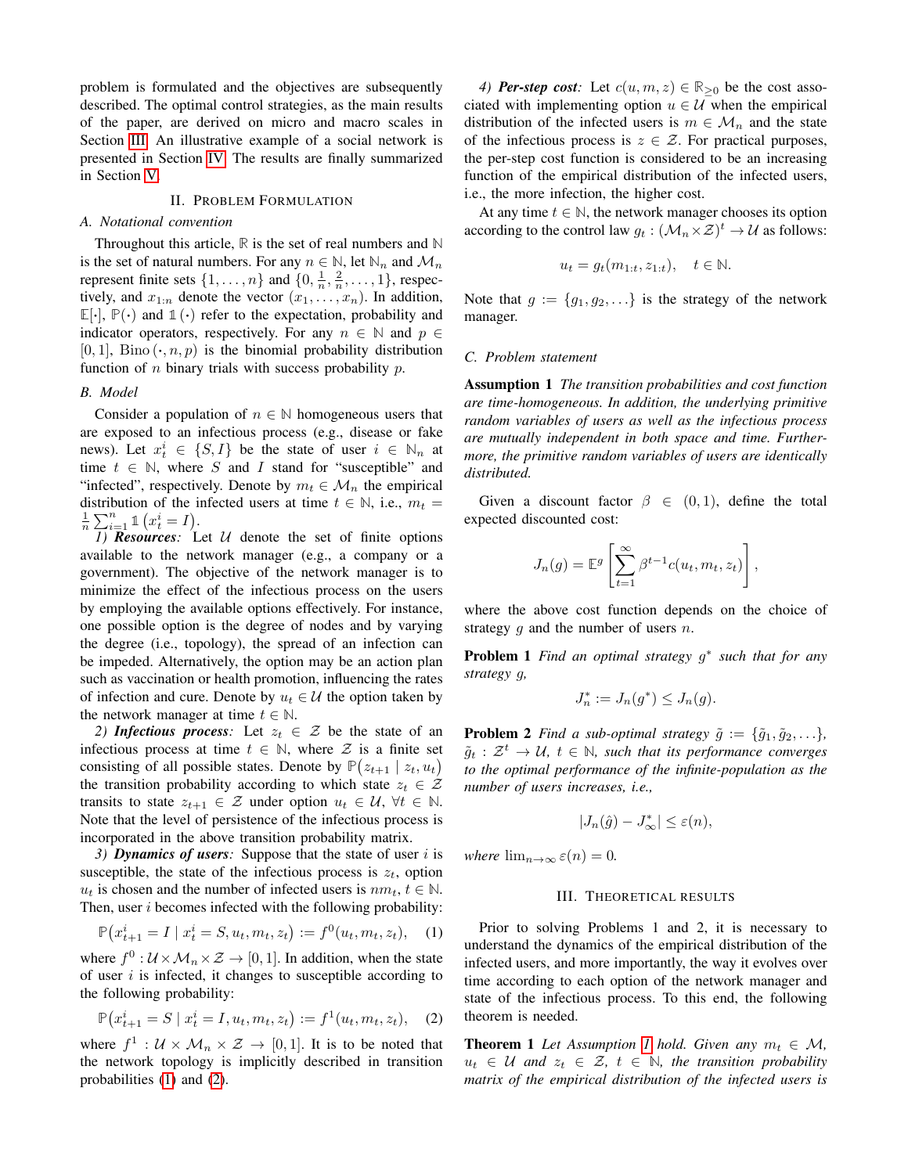problem is formulated and the objectives are subsequently described. The optimal control strategies, as the main results of the paper, are derived on micro and macro scales in Section [III.](#page-1-1) An illustrative example of a social network is presented in Section [IV.](#page-3-0) The results are finally summarized in Section [V.](#page-4-0)

#### II. PROBLEM FORMULATION

#### <span id="page-1-0"></span>*A. Notational convention*

Throughout this article, **R** is the set of real numbers and **N** is the set of natural numbers. For any  $n \in \mathbb{N}$ , let  $\mathbb{N}_n$  and  $\mathcal{M}_n$ represent finite sets  $\{1, \ldots, n\}$  and  $\{0, \frac{1}{n}, \frac{2}{n}, \ldots, 1\}$ , respectively, and  $x_{1:n}$  denote the vector  $(x_1, \ldots, x_n)$ . In addition,  $\mathbb{E}[\cdot], \mathbb{P}(\cdot)$  and  $\mathbb{1}(\cdot)$  refer to the expectation, probability and indicator operators, respectively. For any  $n \in \mathbb{N}$  and  $p \in$  $[0, 1]$ , Bino  $(\cdot, n, p)$  is the binomial probability distribution function of  $n$  binary trials with success probability  $p$ .

# *B. Model*

Consider a population of  $n \in \mathbb{N}$  homogeneous users that are exposed to an infectious process (e.g., disease or fake news). Let  $x_t^i \in \{S, I\}$  be the state of user  $i \in \mathbb{N}_n$  at time  $t \in \mathbb{N}$ , where S and I stand for "susceptible" and "infected", respectively. Denote by  $m_t \in \mathcal{M}_n$  the empirical distribution of the infected users at time  $t \in \mathbb{N}$ , i.e.,  $m_t =$  $\frac{1}{n}\sum_{i=1}^n \mathbb{1}\left(x_t^i = I\right)$ .

*1) Resources:* Let U denote the set of finite options available to the network manager (e.g., a company or a government). The objective of the network manager is to minimize the effect of the infectious process on the users by employing the available options effectively. For instance, one possible option is the degree of nodes and by varying the degree (i.e., topology), the spread of an infection can be impeded. Alternatively, the option may be an action plan such as vaccination or health promotion, influencing the rates of infection and cure. Denote by  $u_t \in \mathcal{U}$  the option taken by the network manager at time  $t \in \mathbb{N}$ .

*2) Infectious process:* Let  $z_t \in \mathcal{Z}$  be the state of an infectious process at time  $t \in \mathbb{N}$ , where  $\mathcal{Z}$  is a finite set consisting of all possible states. Denote by  $\mathbb{P}(z_{t+1} | z_t, u_t)$ the transition probability according to which state  $z_t \in \mathcal{Z}$ transits to state  $z_{t+1} \in \mathcal{Z}$  under option  $u_t \in \mathcal{U}$ ,  $\forall t \in \mathbb{N}$ . Note that the level of persistence of the infectious process is incorporated in the above transition probability matrix.

*3) Dynamics of users:* Suppose that the state of user i is susceptible, the state of the infectious process is  $z_t$ , option  $u_t$  is chosen and the number of infected users is  $nm_t$ ,  $t \in \mathbb{N}$ . Then, user *i* becomes infected with the following probability:

$$
\mathbb{P}(x_{t+1}^i = I \mid x_t^i = S, u_t, m_t, z_t) := f^0(u_t, m_t, z_t), \quad (1)
$$

where  $f^0: \mathcal{U} \times \mathcal{M}_n \times \mathcal{Z} \rightarrow [0, 1]$ . In addition, when the state of user  $i$  is infected, it changes to susceptible according to the following probability:

$$
\mathbb{P}\left(x_{t+1}^i = S \mid x_t^i = I, u_t, m_t, z_t\right) := f^1(u_t, m_t, z_t), \quad (2)
$$

where  $f^1$  :  $\mathcal{U} \times \mathcal{M}_n \times \mathcal{Z} \rightarrow [0,1]$ . It is to be noted that the network topology is implicitly described in transition probabilities [\(1\)](#page-1-2) and [\(2\)](#page-1-3).

*4) Per-step cost:* Let  $c(u, m, z) \in \mathbb{R}_{\geq 0}$  be the cost associated with implementing option  $u \in U$  when the empirical distribution of the infected users is  $m \in \mathcal{M}_n$  and the state of the infectious process is  $z \in \mathcal{Z}$ . For practical purposes, the per-step cost function is considered to be an increasing function of the empirical distribution of the infected users, i.e., the more infection, the higher cost.

At any time  $t \in \mathbb{N}$ , the network manager chooses its option according to the control law  $g_t: (\mathcal{M}_n \times \mathcal{Z})^t \to \mathcal{U}$  as follows:

$$
u_t = g_t(m_{1:t}, z_{1:t}), \quad t \in \mathbb{N}.
$$

Note that  $g := \{g_1, g_2, \ldots\}$  is the strategy of the network manager.

### *C. Problem statement*

<span id="page-1-4"></span>Assumption 1 *The transition probabilities and cost function are time-homogeneous. In addition, the underlying primitive random variables of users as well as the infectious process are mutually independent in both space and time. Furthermore, the primitive random variables of users are identically distributed.*

Given a discount factor  $\beta \in (0,1)$ , define the total expected discounted cost:

$$
J_n(g) = \mathbb{E}^g \left[ \sum_{t=1}^{\infty} \beta^{t-1} c(u_t, m_t, z_t) \right],
$$

where the above cost function depends on the choice of strategy  $g$  and the number of users  $n$ .

Problem 1 *Find an optimal strategy* g ∗ *such that for any strategy* g*,*

<span id="page-1-5"></span>
$$
J_n^* := J_n(g^*) \leq J_n(g).
$$

<span id="page-1-7"></span>**Problem 2** *Find a sub-optimal strategy*  $\tilde{g} := {\tilde{g}_1, \tilde{g}_2, \ldots}$ *,*  $\tilde{g}_t$  :  $\mathcal{Z}^t$   $\rightarrow$   $\mathcal{U},$   $t \in \mathbb{N}$ *, such that its performance converges to the optimal performance of the infinite-population as the number of users increases, i.e.,*

$$
|J_n(\hat{g}) - J^*_{\infty}| \le \varepsilon(n),
$$

<span id="page-1-1"></span>*where*  $\lim_{n\to\infty} \varepsilon(n) = 0$ .

## <span id="page-1-6"></span>III. THEORETICAL RESULTS

<span id="page-1-2"></span>Prior to solving Problems 1 and 2, it is necessary to understand the dynamics of the empirical distribution of the infected users, and more importantly, the way it evolves over time according to each option of the network manager and state of the infectious process. To this end, the following theorem is needed.

<span id="page-1-3"></span>**Theorem [1](#page-1-4)** Let Assumption 1 hold. Given any  $m_t \in \mathcal{M}$ ,  $u_t$  ∈ U and  $z_t$  ∈ Z,  $t$  ∈ N, the transition probability *matrix of the empirical distribution of the infected users is*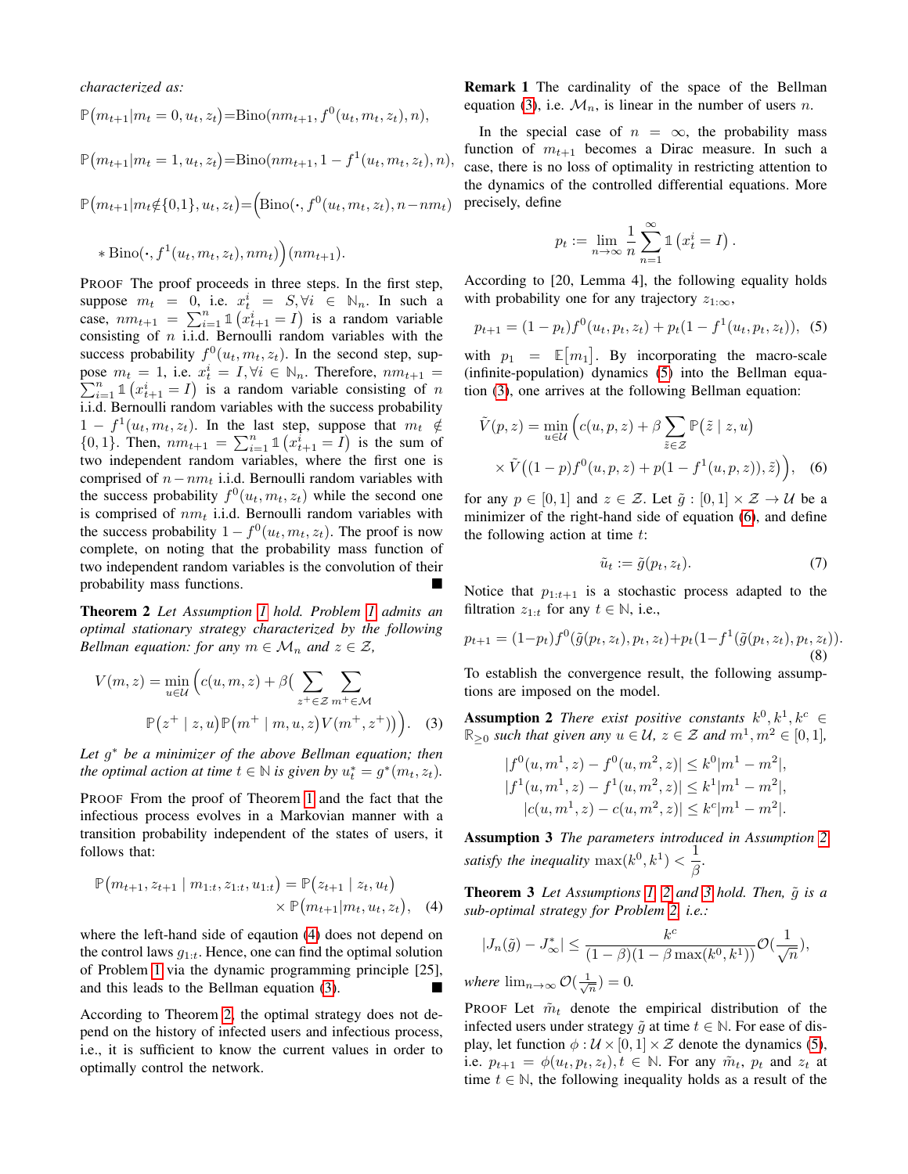*characterized as:*

$$
\mathbb{P}(m_{t+1}|m_t=0, u_t, z_t) = \text{Bino}(nm_{t+1}, f^0(u_t, m_t, z_t), n),
$$

$$
\mathbb{P}(m_{t+1}|m_t=1, u_t, z_t) = \text{Bino}(nm_{t+1}, 1 - f^1(u_t, m_t, z_t), n),
$$

$$
\mathbb{P}(m_{t+1}|m_t \notin \{0,1\}, u_t, z_t) = (\text{Bino}(\cdot, f^0(u_t, m_t, z_t), n - nm_t))
$$

$$
* \operatorname{Bino}(\cdot, f^1(u_t, m_t, z_t), nm_t)\Big) (nm_{t+1}).
$$

PROOF The proof proceeds in three steps. In the first step, suppose  $m_t = 0$ , i.e.  $x_t^i = S, \forall i \in \mathbb{N}_n$ . In such a case,  $nm_{t+1} = \sum_{i=1}^{n} \mathbb{1} (x_{t+1}^i = I)$  is a random variable consisting of  $n$  i.i.d. Bernoulli random variables with the success probability  $f^0(u_t, m_t, z_t)$ . In the second step, suppose  $m_t = 1$ , i.e.  $x_t^i$ pose  $m_t = 1$ , i.e.  $x_t^i = I, \forall i \in \mathbb{N}_n$ . Therefore,  $nm_{t+1} = \sum_{i=1}^n \mathbb{1}(x_{t+1}^i = I)$  is a random variable consisting of n i.i.d. Bernoulli random variables with the success probability  $1 - f^{1}(u_{t}, m_{t}, z_{t})$ . In the last step, suppose that  $m_{t} \notin$  ${0, 1}$ . Then,  $nm_{t+1} = \sum_{i=1}^{n} \mathbb{1}(x_{t+1}^i = I)$  is the sum of two independent random variables, where the first one is comprised of  $n-nm_t$  i.i.d. Bernoulli random variables with the success probability  $f^0(u_t, m_t, z_t)$  while the second one is comprised of  $nm_t$  i.i.d. Bernoulli random variables with the success probability  $1 - f^0(u_t, m_t, z_t)$ . The proof is now complete, on noting that the probability mass function of two independent random variables is the convolution of their probability mass functions.

<span id="page-2-2"></span>Theorem 2 *Let Assumption [1](#page-1-4) hold. Problem [1](#page-1-5) admits an optimal stationary strategy characterized by the following Bellman equation: for any*  $m \in \mathcal{M}_n$  *and*  $z \in \mathcal{Z}$ *,* 

$$
V(m, z) = \min_{u \in \mathcal{U}} \left( c(u, m, z) + \beta \left( \sum_{z^+ \in \mathcal{Z}} \sum_{m^+ \in \mathcal{M}} \right) \mathbb{P}(z^+ \mid z, u) \mathbb{P}(m^+ \mid m, u, z) V(m^+, z^+) ) \right). \tag{3}
$$

*Let* g <sup>∗</sup> *be a minimizer of the above Bellman equation; then the optimal action at time*  $t \in \mathbb{N}$  *is given by*  $u_t^* = g^*(m_t, z_t)$ *.* 

PROOF From the proof of Theorem [1](#page-1-6) and the fact that the infectious process evolves in a Markovian manner with a transition probability independent of the states of users, it follows that:

$$
\mathbb{P}(m_{t+1}, z_{t+1} | m_{1:t}, z_{1:t}, u_{1:t}) = \mathbb{P}(z_{t+1} | z_t, u_t) \times \mathbb{P}(m_{t+1} | m_t, u_t, z_t), \quad (4)
$$

where the left-hand side of eqaution [\(4\)](#page-2-0) does not depend on the control laws  $q_{1:t}$ . Hence, one can find the optimal solution of Problem [1](#page-1-5) via the dynamic programming principle [25], and this leads to the Bellman equation [\(3\)](#page-2-1).

According to Theorem [2,](#page-2-2) the optimal strategy does not depend on the history of infected users and infectious process, i.e., it is sufficient to know the current values in order to optimally control the network.

Remark 1 The cardinality of the space of the Bellman equation [\(3\)](#page-2-1), i.e.  $\mathcal{M}_n$ , is linear in the number of users n.

In the special case of  $n = \infty$ , the probability mass function of  $m_{t+1}$  becomes a Dirac measure. In such a case, there is no loss of optimality in restricting attention to the dynamics of the controlled differential equations. More precisely, define

<span id="page-2-3"></span>
$$
p_t := \lim_{n \to \infty} \frac{1}{n} \sum_{n=1}^{\infty} \mathbb{1} \left( x_t^i = I \right).
$$

According to [20, Lemma 4], the following equality holds with probability one for any trajectory  $z_{1:\infty}$ ,

$$
p_{t+1} = (1 - p_t) f^0(u_t, p_t, z_t) + p_t (1 - f^1(u_t, p_t, z_t)), \quad (5)
$$

with  $p_1 = \mathbb{E}[m_1]$ . By incorporating the macro-scale (infinite-population) dynamics [\(5\)](#page-2-3) into the Bellman equation [\(3\)](#page-2-1), one arrives at the following Bellman equation:

$$
\tilde{V}(p, z) = \min_{u \in \mathcal{U}} \left( c(u, p, z) + \beta \sum_{\tilde{z} \in \mathcal{Z}} \mathbb{P}(\tilde{z} \mid z, u) \times \tilde{V}((1 - p)f^{0}(u, p, z) + p(1 - f^{1}(u, p, z)), \tilde{z}) \right), \quad (6)
$$

for any  $p \in [0, 1]$  and  $z \in \mathcal{Z}$ . Let  $\tilde{q} : [0, 1] \times \mathcal{Z} \rightarrow \mathcal{U}$  be a minimizer of the right-hand side of equation [\(6\)](#page-2-4), and define the following action at time  $t$ :

<span id="page-2-8"></span><span id="page-2-7"></span><span id="page-2-4"></span>
$$
\tilde{u}_t := \tilde{g}(p_t, z_t). \tag{7}
$$

Notice that  $p_{1:t+1}$  is a stochastic process adapted to the filtration  $z_{1:t}$  for any  $t \in \mathbb{N}$ , i.e.,

$$
p_{t+1} = (1 - p_t) f^0(\tilde{g}(p_t, z_t), p_t, z_t) + p_t(1 - f^1(\tilde{g}(p_t, z_t), p_t, z_t)).
$$
\n(8)

To establish the convergence result, the following assumptions are imposed on the model.

<span id="page-2-5"></span><span id="page-2-1"></span>**Assumption 2** There exist positive constants  $k^0, k^1, k^c \in$  $\mathbb{R}_{\geq 0}$  *such that given any*  $u \in \mathcal{U}$ ,  $z \in \mathcal{Z}$  *and*  $m^1, m^2 \in [0, 1]$ *,* 

$$
|f^{0}(u, m^{1}, z) - f^{0}(u, m^{2}, z)| \leq k^{0} |m^{1} - m^{2}|,
$$
  
\n
$$
|f^{1}(u, m^{1}, z) - f^{1}(u, m^{2}, z)| \leq k^{1} |m^{1} - m^{2}|,
$$
  
\n
$$
|c(u, m^{1}, z) - c(u, m^{2}, z)| \leq k^{c} |m^{1} - m^{2}|.
$$

<span id="page-2-6"></span>Assumption 3 *The parameters introduced in Assumption [2](#page-2-5)* satisfy the inequality  $\max(k^0, k^1) < \frac{1}{a}$ β *.*

<span id="page-2-9"></span><span id="page-2-0"></span>**Theorem [3](#page-2-6)** Let Assumptions [1,](#page-1-4) [2](#page-2-5) and 3 hold. Then,  $\tilde{q}$  is a *sub-optimal strategy for Problem [2,](#page-1-7) i.e.:*

$$
|J_n(\tilde{g}) - J^*_{\infty}| \le \frac{k^c}{(1-\beta)(1-\beta \max(k^0, k^1))} \mathcal{O}(\frac{1}{\sqrt{n}}),
$$

*where*  $\lim_{n\to\infty} \mathcal{O}(\frac{1}{\sqrt{n}})=0.$ 

PROOF Let  $\tilde{m}_t$  denote the empirical distribution of the infected users under strategy  $\tilde{g}$  at time  $t \in \mathbb{N}$ . For ease of display, let function  $\phi : \mathcal{U} \times [0, 1] \times \mathcal{Z}$  denote the dynamics [\(5\)](#page-2-3), i.e.  $p_{t+1} = \phi(u_t, p_t, z_t)$ ,  $t \in \mathbb{N}$ . For any  $\tilde{m}_t$ ,  $p_t$  and  $z_t$  at time  $t \in \mathbb{N}$ , the following inequality holds as a result of the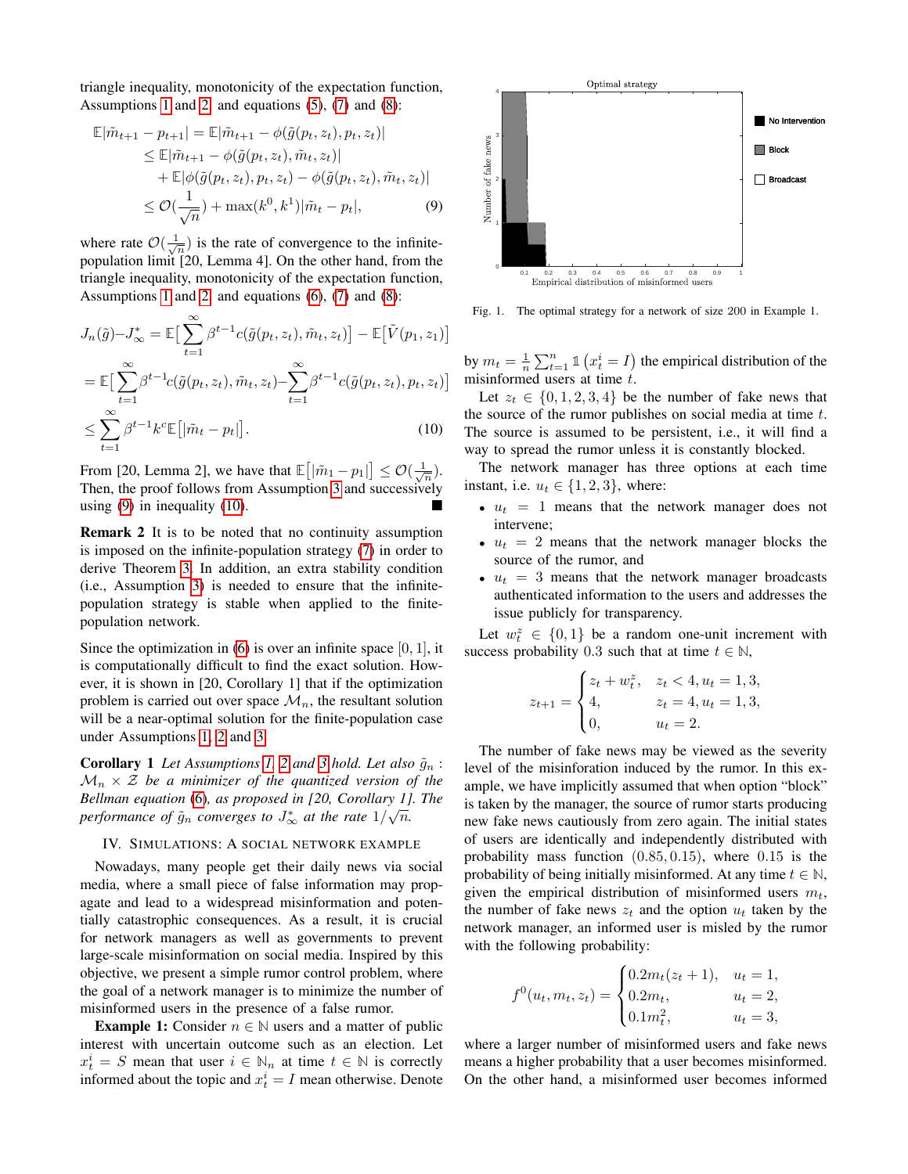triangle inequality, monotonicity of the expectation function, Assumptions [1](#page-1-4) and [2,](#page-2-5) and equations  $(5)$ ,  $(7)$  and  $(8)$ :

$$
\mathbb{E}|\tilde{m}_{t+1} - p_{t+1}| = \mathbb{E}|\tilde{m}_{t+1} - \phi(\tilde{g}(p_t, z_t), p_t, z_t)|
$$
  
\n
$$
\leq \mathbb{E}|\tilde{m}_{t+1} - \phi(\tilde{g}(p_t, z_t), \tilde{m}_t, z_t)|
$$
  
\n
$$
+ \mathbb{E}|\phi(\tilde{g}(p_t, z_t), p_t, z_t) - \phi(\tilde{g}(p_t, z_t), \tilde{m}_t, z_t)|
$$
  
\n
$$
\leq \mathcal{O}(\frac{1}{\sqrt{n}}) + \max(k^0, k^1)|\tilde{m}_t - p_t|,
$$
 (9)

where rate  $\mathcal{O}(\frac{1}{\sqrt{n}})$  is the rate of convergence to the infinitepopulation limit [20, Lemma 4]. On the other hand, from the triangle inequality, monotonicity of the expectation function, Assumptions [1](#page-1-4) and [2,](#page-2-5) and equations  $(6)$ ,  $(7)$  and  $(8)$ :

$$
J_n(\tilde{g}) - J_{\infty}^* = \mathbb{E}\big[\sum_{t=1}^{\infty} \beta^{t-1} c(\tilde{g}(p_t, z_t), \tilde{m}_t, z_t)\big] - \mathbb{E}\big[\tilde{V}(p_1, z_1)\big]
$$
  

$$
= \mathbb{E}\big[\sum_{t=1}^{\infty} \beta^{t-1} c(\tilde{g}(p_t, z_t), \tilde{m}_t, z_t) - \sum_{t=1}^{\infty} \beta^{t-1} c(\tilde{g}(p_t, z_t), p_t, z_t)\big]
$$
  

$$
\leq \sum_{t=1}^{\infty} \beta^{t-1} k^c \mathbb{E}\big[\tilde{m}_t - p_t\big].
$$
 (10)

From [20, Lemma 2], we have that  $\mathbb{E}\left[\left|\tilde{m}_1 - p_1\right|\right] \leq \mathcal{O}\left(\frac{1}{\sqrt{n}}\right)$ . Then, the proof follows from Assumption [3](#page-2-6) and successively using [\(9\)](#page-3-1) in inequality [\(10\)](#page-3-2).

Remark 2 It is to be noted that no continuity assumption is imposed on the infinite-population strategy [\(7\)](#page-2-7) in order to derive Theorem [3.](#page-2-9) In addition, an extra stability condition (i.e., Assumption [3\)](#page-2-6) is needed to ensure that the infinitepopulation strategy is stable when applied to the finitepopulation network.

Since the optimization in  $(6)$  is over an infinite space  $[0, 1]$ , it is computationally difficult to find the exact solution. However, it is shown in [20, Corollary 1] that if the optimization problem is carried out over space  $\mathcal{M}_n$ , the resultant solution will be a near-optimal solution for the finite-population case under Assumptions [1,](#page-1-4) [2](#page-2-5) and [3.](#page-2-6)

<span id="page-3-4"></span>**Corollary 1** Let Assumptions [1,](#page-1-4) [2](#page-2-5) and [3](#page-2-6) hold. Let also  $\tilde{g}_n$ :  $\mathcal{M}_n \times \mathcal{Z}$  be a minimizer of the quantized version of the *Bellman equation* [\(6\)](#page-2-4)*, as proposed in [20, Corollary 1]. The* √ performance of  $\tilde{g}_n$  converges to  $J^*_\infty$  at the rate  $1/\sqrt{n}$ .

#### <span id="page-3-0"></span>IV. SIMULATIONS: A SOCIAL NETWORK EXAMPLE

Nowadays, many people get their daily news via social media, where a small piece of false information may propagate and lead to a widespread misinformation and potentially catastrophic consequences. As a result, it is crucial for network managers as well as governments to prevent large-scale misinformation on social media. Inspired by this objective, we present a simple rumor control problem, where the goal of a network manager is to minimize the number of misinformed users in the presence of a false rumor.

**Example 1:** Consider  $n \in \mathbb{N}$  users and a matter of public interest with uncertain outcome such as an election. Let  $x_t^i = S$  mean that user  $i \in \mathbb{N}_n$  at time  $t \in \mathbb{N}$  is correctly informed about the topic and  $x_t^i = I$  mean otherwise. Denote

<span id="page-3-1"></span>

<span id="page-3-3"></span>Fig. 1. The optimal strategy for a network of size 200 in Example 1.

by  $m_t = \frac{1}{n} \sum_{t=1}^n \mathbb{1} \left( x_t^i = I \right)$  the empirical distribution of the misinformed users at time  $t$ .

<span id="page-3-2"></span>Let  $z_t \in \{0, 1, 2, 3, 4\}$  be the number of fake news that the source of the rumor publishes on social media at time  $t$ . The source is assumed to be persistent, i.e., it will find a way to spread the rumor unless it is constantly blocked.

The network manager has three options at each time instant, i.e.  $u_t \in \{1, 2, 3\}$ , where:

- $u_t = 1$  means that the network manager does not intervene;
- $u_t = 2$  means that the network manager blocks the source of the rumor, and
- $u_t = 3$  means that the network manager broadcasts authenticated information to the users and addresses the issue publicly for transparency.

Let  $w_t^z \in \{0,1\}$  be a random one-unit increment with success probability 0.3 such that at time  $t \in \mathbb{N}$ ,

$$
z_{t+1} = \begin{cases} z_t + w_t^z, & z_t < 4, u_t = 1, 3, \\ 4, & z_t = 4, u_t = 1, 3, \\ 0, & u_t = 2. \end{cases}
$$

The number of fake news may be viewed as the severity level of the misinforation induced by the rumor. In this example, we have implicitly assumed that when option "block" is taken by the manager, the source of rumor starts producing new fake news cautiously from zero again. The initial states of users are identically and independently distributed with probability mass function (0.85, 0.15), where 0.15 is the probability of being initially misinformed. At any time  $t \in \mathbb{N}$ , given the empirical distribution of misinformed users  $m_t$ , the number of fake news  $z_t$  and the option  $u_t$  taken by the network manager, an informed user is misled by the rumor with the following probability:

$$
f^{0}(u_{t}, m_{t}, z_{t}) = \begin{cases} 0.2m_{t}(z_{t} + 1), & u_{t} = 1, \\ 0.2m_{t}, & u_{t} = 2, \\ 0.1m_{t}^{2}, & u_{t} = 3, \end{cases}
$$

where a larger number of misinformed users and fake news means a higher probability that a user becomes misinformed. On the other hand, a misinformed user becomes informed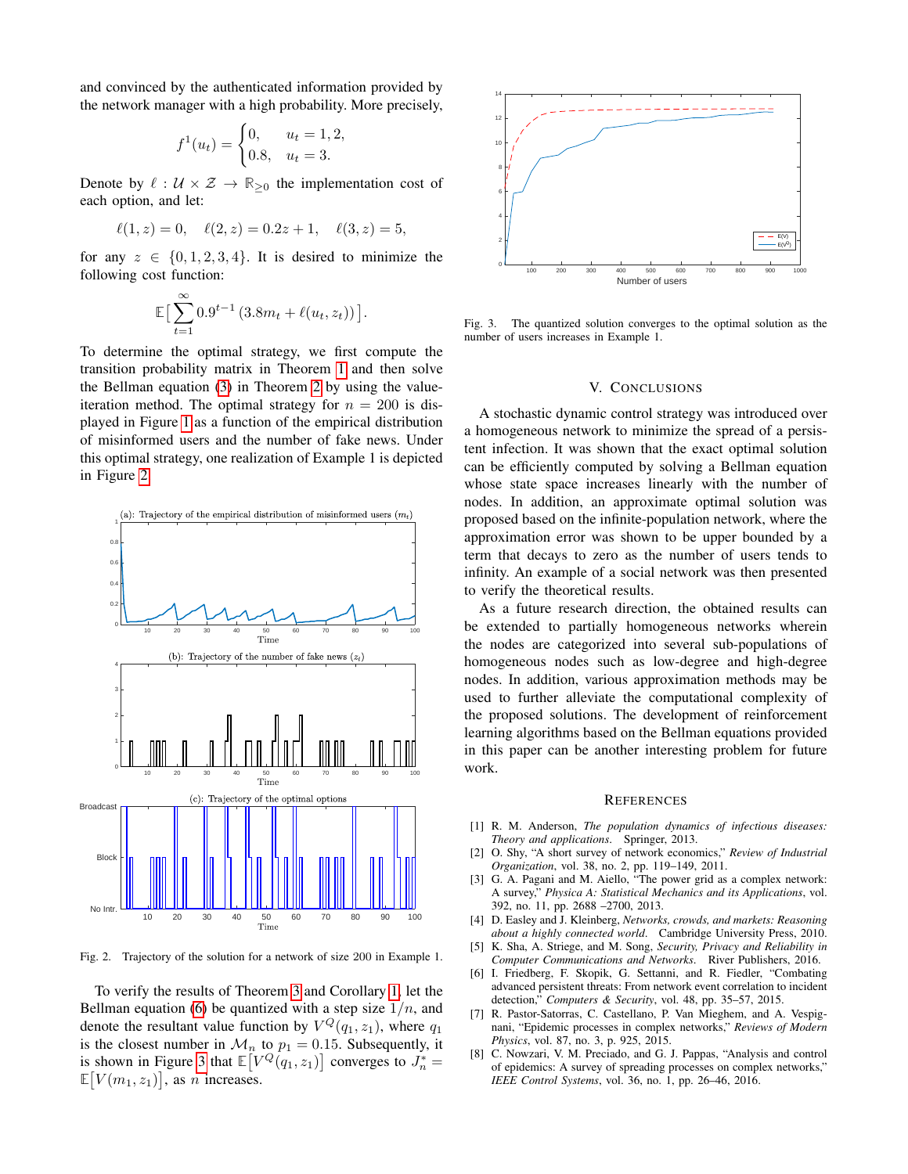and convinced by the authenticated information provided by the network manager with a high probability. More precisely,

$$
f^{1}(u_{t}) = \begin{cases} 0, & u_{t} = 1, 2, \\ 0.8, & u_{t} = 3. \end{cases}
$$

Denote by  $\ell : U \times Z \to \mathbb{R}_{\geq 0}$  the implementation cost of each option, and let:

$$
\ell(1, z) = 0, \quad \ell(2, z) = 0.2z + 1, \quad \ell(3, z) = 5,
$$

for any  $z \in \{0, 1, 2, 3, 4\}$ . It is desired to minimize the following cost function:

$$
\mathbb{E}\big[\sum_{t=1}^{\infty} 0.9^{t-1} \left(3.8m_t + \ell(u_t, z_t)\right)\big].
$$

To determine the optimal strategy, we first compute the transition probability matrix in Theorem [1](#page-1-6) and then solve the Bellman equation [\(3\)](#page-2-1) in Theorem [2](#page-2-2) by using the valueiteration method. The optimal strategy for  $n = 200$  is displayed in Figure [1](#page-3-3) as a function of the empirical distribution of misinformed users and the number of fake news. Under this optimal strategy, one realization of Example 1 is depicted in Figure [2.](#page-4-1)



<span id="page-4-1"></span>Fig. 2. Trajectory of the solution for a network of size 200 in Example 1.

To verify the results of Theorem [3](#page-2-9) and Corollary [1,](#page-3-4) let the Bellman equation [\(6\)](#page-2-4) be quantized with a step size  $1/n$ , and denote the resultant value function by  $V^Q(q_1, z_1)$ , where  $q_1$ is the closest number in  $\mathcal{M}_n$  to  $p_1 = 0.15$ . Subsequently, it is shown in Figure [3](#page-4-2) that  $\mathbb{E}[V^Q(q_1, z_1)]$  converges to  $J_n^* =$  $\mathbb{E}[V(m_1, z_1)],$  as *n* increases.



<span id="page-4-2"></span>Fig. 3. The quantized solution converges to the optimal solution as the number of users increases in Example 1.

## V. CONCLUSIONS

<span id="page-4-0"></span>A stochastic dynamic control strategy was introduced over a homogeneous network to minimize the spread of a persistent infection. It was shown that the exact optimal solution can be efficiently computed by solving a Bellman equation whose state space increases linearly with the number of nodes. In addition, an approximate optimal solution was proposed based on the infinite-population network, where the approximation error was shown to be upper bounded by a term that decays to zero as the number of users tends to infinity. An example of a social network was then presented to verify the theoretical results.

As a future research direction, the obtained results can be extended to partially homogeneous networks wherein the nodes are categorized into several sub-populations of homogeneous nodes such as low-degree and high-degree nodes. In addition, various approximation methods may be used to further alleviate the computational complexity of the proposed solutions. The development of reinforcement learning algorithms based on the Bellman equations provided in this paper can be another interesting problem for future work.

#### **REFERENCES**

- [1] R. M. Anderson, *The population dynamics of infectious diseases: Theory and applications*. Springer, 2013.
- [2] O. Shy, "A short survey of network economics," *Review of Industrial Organization*, vol. 38, no. 2, pp. 119–149, 2011.
- [3] G. A. Pagani and M. Aiello, "The power grid as a complex network: A survey," *Physica A: Statistical Mechanics and its Applications*, vol. 392, no. 11, pp. 2688 –2700, 2013.
- [4] D. Easley and J. Kleinberg, *Networks, crowds, and markets: Reasoning about a highly connected world*. Cambridge University Press, 2010. [5] K. Sha, A. Striege, and M. Song, *Security, Privacy and Reliability in*
- *Computer Communications and Networks*. River Publishers, 2016.
- [6] I. Friedberg, F. Skopik, G. Settanni, and R. Fiedler, "Combating advanced persistent threats: From network event correlation to incident detection," *Computers & Security*, vol. 48, pp. 35–57, 2015.
- [7] R. Pastor-Satorras, C. Castellano, P. Van Mieghem, and A. Vespignani, "Epidemic processes in complex networks," *Reviews of Modern Physics*, vol. 87, no. 3, p. 925, 2015.
- [8] C. Nowzari, V. M. Preciado, and G. J. Pappas, "Analysis and control of epidemics: A survey of spreading processes on complex networks," *IEEE Control Systems*, vol. 36, no. 1, pp. 26–46, 2016.